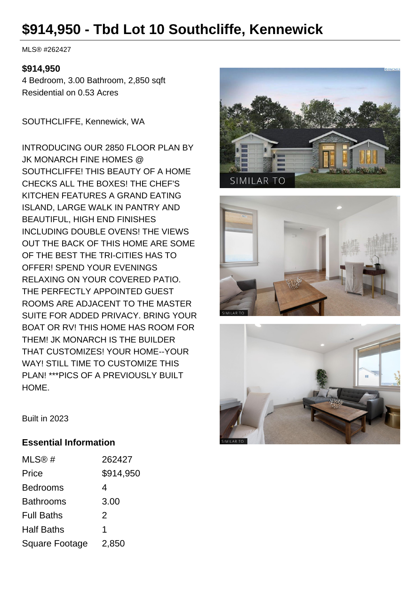# **\$914,950 - Tbd Lot 10 Southcliffe, Kennewick**

MLS® #262427

#### **\$914,950**

4 Bedroom, 3.00 Bathroom, 2,850 sqft Residential on 0.53 Acres

SOUTHCLIFFE, Kennewick, WA

INTRODUCING OUR 2850 FLOOR PLAN BY JK MONARCH FINE HOMES @ SOUTHCLIFFE! THIS BEAUTY OF A HOME CHECKS ALL THE BOXES! THE CHEF'S KITCHEN FEATURES A GRAND EATING ISLAND, LARGE WALK IN PANTRY AND BEAUTIFUL, HIGH END FINISHES INCLUDING DOUBLE OVENS! THE VIEWS OUT THE BACK OF THIS HOME ARE SOME OF THE BEST THE TRI-CITIES HAS TO OFFER! SPEND YOUR EVENINGS RELAXING ON YOUR COVERED PATIO. THE PERFECTLY APPOINTED GUEST ROOMS ARE ADJACENT TO THE MASTER SUITE FOR ADDED PRIVACY. BRING YOUR BOAT OR RV! THIS HOME HAS ROOM FOR THEM! JK MONARCH IS THE BUILDER THAT CUSTOMIZES! YOUR HOME--YOUR WAY! STILL TIME TO CUSTOMIZE THIS PLAN! \*\*\*PICS OF A PREVIOUSLY BUILT HOME.







Built in 2023

#### **Essential Information**

| MLS@#                 | 262427    |
|-----------------------|-----------|
| Price                 | \$914,950 |
| <b>Bedrooms</b>       | 4         |
| <b>Bathrooms</b>      | 3.00      |
| <b>Full Baths</b>     | 2         |
| <b>Half Baths</b>     | 1         |
| <b>Square Footage</b> | 2,850     |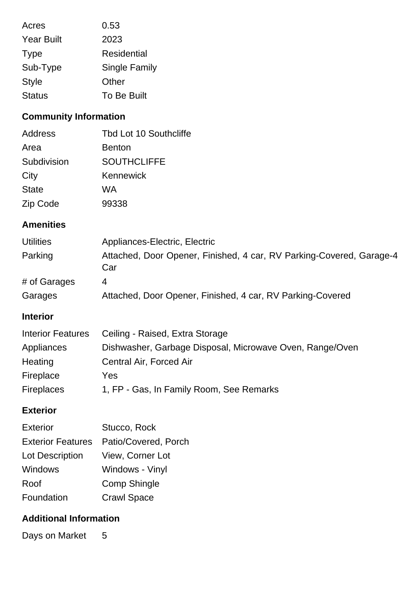| Acres             | 0.53                 |
|-------------------|----------------------|
| <b>Year Built</b> | 2023                 |
| <b>Type</b>       | Residential          |
| Sub-Type          | <b>Single Family</b> |
| <b>Style</b>      | Other                |
| <b>Status</b>     | To Be Built          |

## **Community Information**

| <b>Address</b> | <b>Tbd Lot 10 Southcliffe</b> |
|----------------|-------------------------------|
| Area           | <b>Benton</b>                 |
| Subdivision    | <b>SOUTHCLIFFE</b>            |
| City           | Kennewick                     |
| <b>State</b>   | WA                            |
| Zip Code       | 99338                         |

## **Amenities**

| <b>Utilities</b> | Appliances-Electric, Electric                                               |
|------------------|-----------------------------------------------------------------------------|
| Parking          | Attached, Door Opener, Finished, 4 car, RV Parking-Covered, Garage-4<br>Car |
| # of Garages     | 4                                                                           |
| Garages          | Attached, Door Opener, Finished, 4 car, RV Parking-Covered                  |

## **Interior**

| <b>Interior Features</b> | Ceiling - Raised, Extra Storage                          |
|--------------------------|----------------------------------------------------------|
| Appliances               | Dishwasher, Garbage Disposal, Microwave Oven, Range/Oven |
| Heating                  | Central Air, Forced Air                                  |
| Fireplace                | Yes                                                      |
| <b>Fireplaces</b>        | 1, FP - Gas, In Family Room, See Remarks                 |

### **Exterior**

| <b>Exterior</b>          | Stucco, Rock         |
|--------------------------|----------------------|
| <b>Exterior Features</b> | Patio/Covered, Porch |
| Lot Description          | View, Corner Lot     |
| Windows                  | Windows - Vinyl      |
| Roof                     | <b>Comp Shingle</b>  |
| Foundation               | <b>Crawl Space</b>   |
|                          |                      |

### **Additional Information**

Days on Market 5